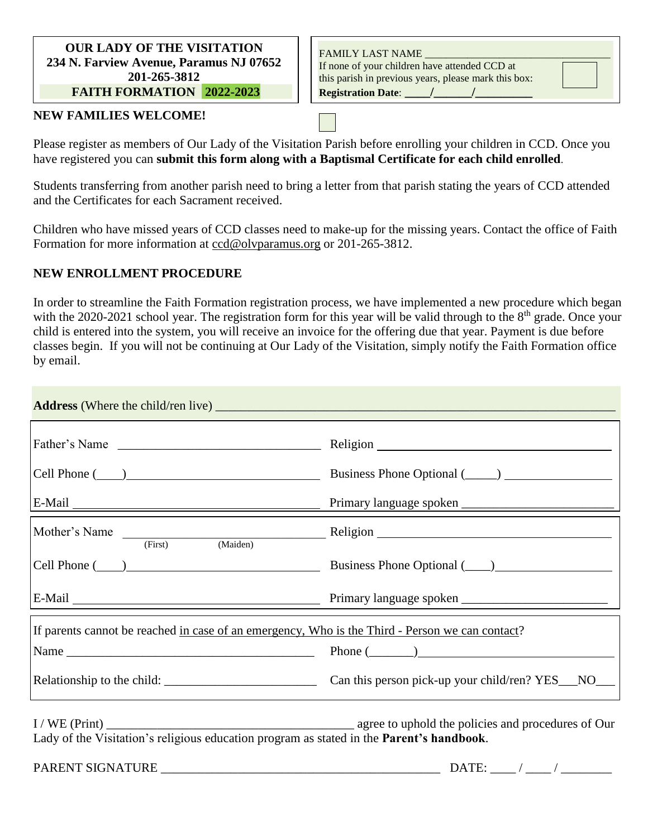#### **OUR LADY OF THE VISITATION 234 N. Farview Avenue, Paramus NJ 07652 201-265-3812 FAITH FORMATION 2022-2023**

FAMILY LAST NAME If none of your children have attended CCD at this parish in previous years, please mark this box: **Registration Date**: **\_\_\_\_/\_\_\_\_\_\_/\_\_\_\_\_\_\_\_\_**

### **NEW FAMILIES WELCOME!**

 $D_{\text{c}}$  at the least one of  $D_{\text{c}}$  at this part one of  $D_{\text{c}}$  at the CCD  $D_{\text{c}}$ Please register as members of Our Lady of the Visitation Parish before enrolling your children in CCD. Once you have registered you can submit this form along with a Baptismal Certificate for each child enrolled.

Students transferring from another parish need to bring a letter from that parish stating the years of CCD attended and the Certificates for each Sacrament received.

Children who have missed years of CCD classes need to make-up for the missing years. Contact the office of Faith Formation for more information at [ccd@olvparamus.org](mailto:ccd@olvparamus.org) or 201-265-3812.

# **NEW ENROLLMENT PROCEDURE**

In order to streamline the Faith Formation registration process, we have implemented a new procedure which began with the 2020-2021 school year. The registration form for this year will be valid through to the  $8<sup>th</sup>$  grade. Once your child is entered into the system, you will receive an invoice for the offering due that year. Payment is due before classes begin. If you will not be continuing at Our Lady of the Visitation, simply notify the Faith Formation office by email.

|                                                                                                 | Cell Phone (2012) Business Phone Optional (2012) 2012 2021 2022 2023 |  |  |  |
|-------------------------------------------------------------------------------------------------|----------------------------------------------------------------------|--|--|--|
|                                                                                                 | Primary language spoken                                              |  |  |  |
| Mother's Name (First) (Maiden)                                                                  |                                                                      |  |  |  |
|                                                                                                 | Business Phone Optional (____)                                       |  |  |  |
|                                                                                                 |                                                                      |  |  |  |
| If parents cannot be reached in case of an emergency, Who is the Third - Person we can contact? |                                                                      |  |  |  |
|                                                                                                 |                                                                      |  |  |  |
|                                                                                                 |                                                                      |  |  |  |
| Lady of the Visitation's religious education program as stated in the Parent's handbook.        |                                                                      |  |  |  |
| PARENT SIGNATURE                                                                                |                                                                      |  |  |  |